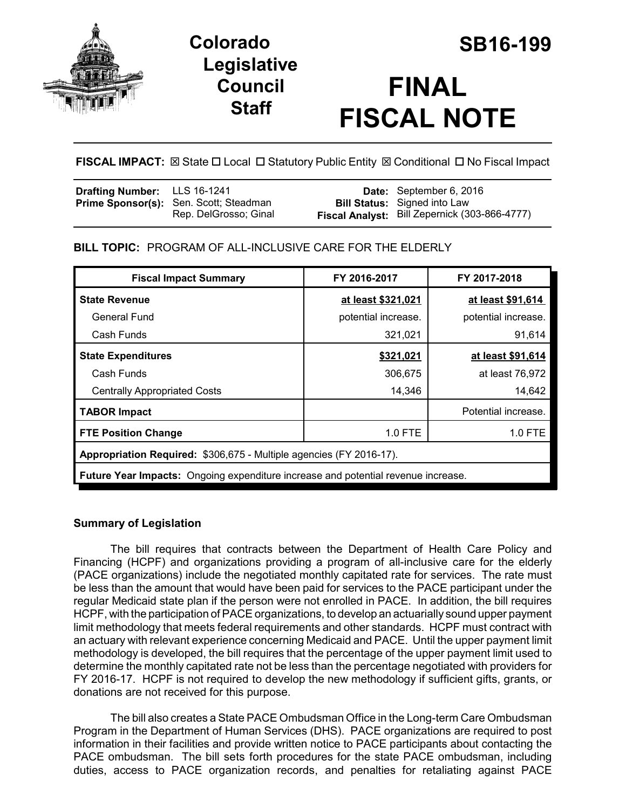

**Colorado SB16-199 Legislative Council Staff**

# **FINAL FISCAL NOTE**

**FISCAL IMPACT:**  $\boxtimes$  **State □ Local □ Statutory Public Entity**  $\boxtimes$  **Conditional □ No Fiscal Impact** 

| <b>Drafting Number:</b> LLS 16-1241 |                                        | Date: September 6, 2016                       |
|-------------------------------------|----------------------------------------|-----------------------------------------------|
|                                     | Prime Sponsor(s): Sen. Scott; Steadman | <b>Bill Status:</b> Signed into Law           |
|                                     | Rep. DelGrosso; Ginal                  | Fiscal Analyst: Bill Zepernick (303-866-4777) |

**BILL TOPIC:** PROGRAM OF ALL-INCLUSIVE CARE FOR THE ELDERLY

| <b>Fiscal Impact Summary</b>                                                      | FY 2016-2017        | FY 2017-2018        |  |  |  |
|-----------------------------------------------------------------------------------|---------------------|---------------------|--|--|--|
| <b>State Revenue</b>                                                              | at least \$321,021  | at least \$91,614   |  |  |  |
| General Fund                                                                      | potential increase. | potential increase. |  |  |  |
| Cash Funds                                                                        | 321,021             | 91,614              |  |  |  |
| <b>State Expenditures</b>                                                         | \$321,021           | at least \$91,614   |  |  |  |
| Cash Funds                                                                        | 306,675             | at least 76,972     |  |  |  |
| <b>Centrally Appropriated Costs</b>                                               | 14,346              | 14,642              |  |  |  |
| <b>TABOR Impact</b>                                                               |                     | Potential increase. |  |  |  |
| <b>FTE Position Change</b>                                                        | 1.0 FTE             | 1.0 FTE             |  |  |  |
| <b>Appropriation Required: \$306,675 - Multiple agencies (FY 2016-17).</b>        |                     |                     |  |  |  |
| Future Year Impacts: Ongoing expenditure increase and potential revenue increase. |                     |                     |  |  |  |

## **Summary of Legislation**

The bill requires that contracts between the Department of Health Care Policy and Financing (HCPF) and organizations providing a program of all-inclusive care for the elderly (PACE organizations) include the negotiated monthly capitated rate for services. The rate must be less than the amount that would have been paid for services to the PACE participant under the regular Medicaid state plan if the person were not enrolled in PACE. In addition, the bill requires HCPF, with the participation of PACE organizations, to develop an actuarially sound upper payment limit methodology that meets federal requirements and other standards. HCPF must contract with an actuary with relevant experience concerning Medicaid and PACE. Until the upper payment limit methodology is developed, the bill requires that the percentage of the upper payment limit used to determine the monthly capitated rate not be less than the percentage negotiated with providers for FY 2016-17. HCPF is not required to develop the new methodology if sufficient gifts, grants, or donations are not received for this purpose.

The bill also creates a State PACE Ombudsman Office in the Long-term Care Ombudsman Program in the Department of Human Services (DHS). PACE organizations are required to post information in their facilities and provide written notice to PACE participants about contacting the PACE ombudsman. The bill sets forth procedures for the state PACE ombudsman, including duties, access to PACE organization records, and penalties for retaliating against PACE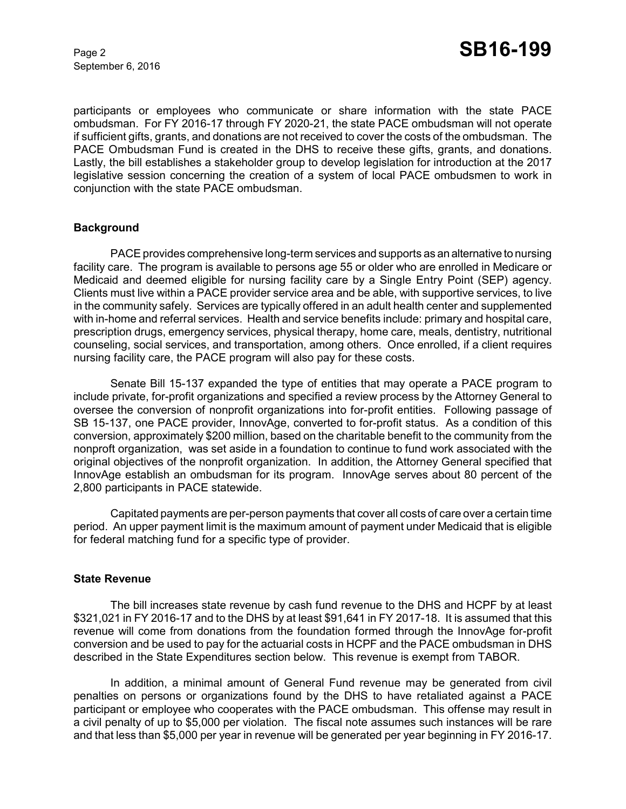September 6, 2016

participants or employees who communicate or share information with the state PACE ombudsman. For FY 2016-17 through FY 2020-21, the state PACE ombudsman will not operate if sufficient gifts, grants, and donations are not received to cover the costs of the ombudsman. The PACE Ombudsman Fund is created in the DHS to receive these gifts, grants, and donations. Lastly, the bill establishes a stakeholder group to develop legislation for introduction at the 2017 legislative session concerning the creation of a system of local PACE ombudsmen to work in conjunction with the state PACE ombudsman.

#### **Background**

PACE provides comprehensive long-term services and supports as an alternative to nursing facility care. The program is available to persons age 55 or older who are enrolled in Medicare or Medicaid and deemed eligible for nursing facility care by a Single Entry Point (SEP) agency. Clients must live within a PACE provider service area and be able, with supportive services, to live in the community safely. Services are typically offered in an adult health center and supplemented with in-home and referral services. Health and service benefits include: primary and hospital care, prescription drugs, emergency services, physical therapy, home care, meals, dentistry, nutritional counseling, social services, and transportation, among others. Once enrolled, if a client requires nursing facility care, the PACE program will also pay for these costs.

Senate Bill 15-137 expanded the type of entities that may operate a PACE program to include private, for-profit organizations and specified a review process by the Attorney General to oversee the conversion of nonprofit organizations into for-profit entities. Following passage of SB 15-137, one PACE provider, InnovAge, converted to for-profit status. As a condition of this conversion, approximately \$200 million, based on the charitable benefit to the community from the nonproft organization, was set aside in a foundation to continue to fund work associated with the original objectives of the nonprofit organization. In addition, the Attorney General specified that InnovAge establish an ombudsman for its program. InnovAge serves about 80 percent of the 2,800 participants in PACE statewide.

Capitated payments are per-person payments that cover all costs of care over a certain time period. An upper payment limit is the maximum amount of payment under Medicaid that is eligible for federal matching fund for a specific type of provider.

#### **State Revenue**

The bill increases state revenue by cash fund revenue to the DHS and HCPF by at least \$321,021 in FY 2016-17 and to the DHS by at least \$91,641 in FY 2017-18. It is assumed that this revenue will come from donations from the foundation formed through the InnovAge for-profit conversion and be used to pay for the actuarial costs in HCPF and the PACE ombudsman in DHS described in the State Expenditures section below. This revenue is exempt from TABOR.

In addition, a minimal amount of General Fund revenue may be generated from civil penalties on persons or organizations found by the DHS to have retaliated against a PACE participant or employee who cooperates with the PACE ombudsman. This offense may result in a civil penalty of up to \$5,000 per violation. The fiscal note assumes such instances will be rare and that less than \$5,000 per year in revenue will be generated per year beginning in FY 2016-17.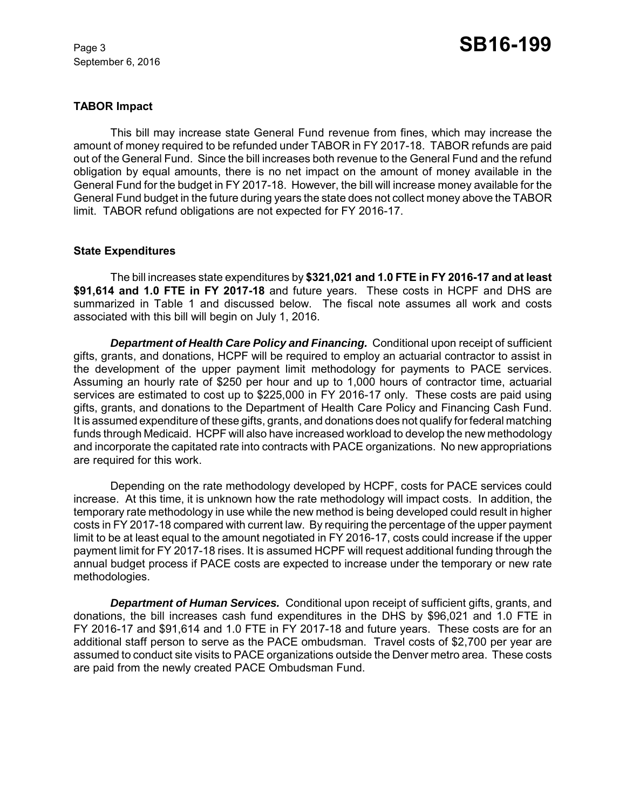September 6, 2016

#### **TABOR Impact**

This bill may increase state General Fund revenue from fines, which may increase the amount of money required to be refunded under TABOR in FY 2017-18. TABOR refunds are paid out of the General Fund. Since the bill increases both revenue to the General Fund and the refund obligation by equal amounts, there is no net impact on the amount of money available in the General Fund for the budget in FY 2017-18. However, the bill will increase money available for the General Fund budget in the future during years the state does not collect money above the TABOR limit. TABOR refund obligations are not expected for FY 2016-17.

#### **State Expenditures**

The bill increases state expenditures by **\$321,021 and 1.0 FTE in FY 2016-17 and at least \$91,614 and 1.0 FTE in FY 2017-18** and future years. These costs in HCPF and DHS are summarized in Table 1 and discussed below. The fiscal note assumes all work and costs associated with this bill will begin on July 1, 2016.

*Department of Health Care Policy and Financing.* Conditional upon receipt of sufficient gifts, grants, and donations, HCPF will be required to employ an actuarial contractor to assist in the development of the upper payment limit methodology for payments to PACE services. Assuming an hourly rate of \$250 per hour and up to 1,000 hours of contractor time, actuarial services are estimated to cost up to \$225,000 in FY 2016-17 only. These costs are paid using gifts, grants, and donations to the Department of Health Care Policy and Financing Cash Fund. It is assumed expenditure of these gifts, grants, and donations does not qualify for federal matching funds through Medicaid. HCPF will also have increased workload to develop the new methodology and incorporate the capitated rate into contracts with PACE organizations. No new appropriations are required for this work.

Depending on the rate methodology developed by HCPF, costs for PACE services could increase. At this time, it is unknown how the rate methodology will impact costs. In addition, the temporary rate methodology in use while the new method is being developed could result in higher costs in FY 2017-18 compared with current law. By requiring the percentage of the upper payment limit to be at least equal to the amount negotiated in FY 2016-17, costs could increase if the upper payment limit for FY 2017-18 rises. It is assumed HCPF will request additional funding through the annual budget process if PACE costs are expected to increase under the temporary or new rate methodologies.

*Department of Human Services.* Conditional upon receipt of sufficient gifts, grants, and donations, the bill increases cash fund expenditures in the DHS by \$96,021 and 1.0 FTE in FY 2016-17 and \$91,614 and 1.0 FTE in FY 2017-18 and future years. These costs are for an additional staff person to serve as the PACE ombudsman. Travel costs of \$2,700 per year are assumed to conduct site visits to PACE organizations outside the Denver metro area. These costs are paid from the newly created PACE Ombudsman Fund.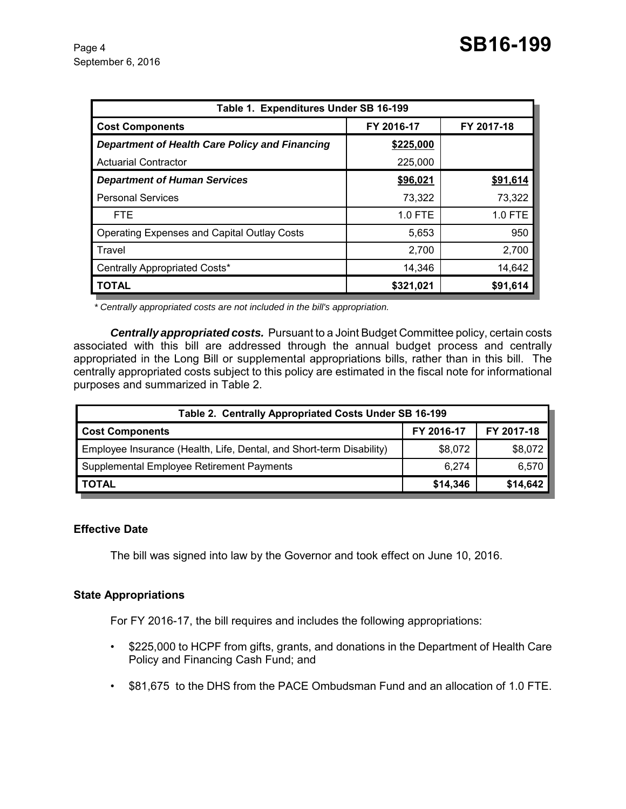| Table 1. Expenditures Under SB 16-199              |            |            |  |  |  |  |
|----------------------------------------------------|------------|------------|--|--|--|--|
| <b>Cost Components</b>                             | FY 2016-17 | FY 2017-18 |  |  |  |  |
| Department of Health Care Policy and Financing     | \$225,000  |            |  |  |  |  |
| <b>Actuarial Contractor</b>                        | 225,000    |            |  |  |  |  |
| <b>Department of Human Services</b>                | \$96,021   | \$91,614   |  |  |  |  |
| <b>Personal Services</b>                           | 73,322     | 73,322     |  |  |  |  |
| <b>FTE</b>                                         | $1.0$ FTE  | 1.0 FTE    |  |  |  |  |
| <b>Operating Expenses and Capital Outlay Costs</b> | 5,653      | 950        |  |  |  |  |
| Travel                                             | 2,700      | 2,700      |  |  |  |  |
| Centrally Appropriated Costs*                      | 14,346     | 14,642     |  |  |  |  |
| <b>TOTAL</b>                                       | \$321,021  | \$91,614   |  |  |  |  |

 *\* Centrally appropriated costs are not included in the bill's appropriation.*

*Centrally appropriated costs.* Pursuant to a Joint Budget Committee policy, certain costs associated with this bill are addressed through the annual budget process and centrally appropriated in the Long Bill or supplemental appropriations bills, rather than in this bill. The centrally appropriated costs subject to this policy are estimated in the fiscal note for informational purposes and summarized in Table 2.

| Table 2. Centrally Appropriated Costs Under SB 16-199                |            |            |  |  |  |
|----------------------------------------------------------------------|------------|------------|--|--|--|
| <b>Cost Components</b>                                               | FY 2016-17 | FY 2017-18 |  |  |  |
| Employee Insurance (Health, Life, Dental, and Short-term Disability) | \$8.072    | \$8,072    |  |  |  |
| Supplemental Employee Retirement Payments                            | 6.274      | 6,570      |  |  |  |
| <b>TOTAL</b>                                                         | \$14,346   | \$14,642   |  |  |  |

#### **Effective Date**

The bill was signed into law by the Governor and took effect on June 10, 2016.

#### **State Appropriations**

For FY 2016-17, the bill requires and includes the following appropriations:

- \$225,000 to HCPF from gifts, grants, and donations in the Department of Health Care Policy and Financing Cash Fund; and
- \$81,675 to the DHS from the PACE Ombudsman Fund and an allocation of 1.0 FTE.